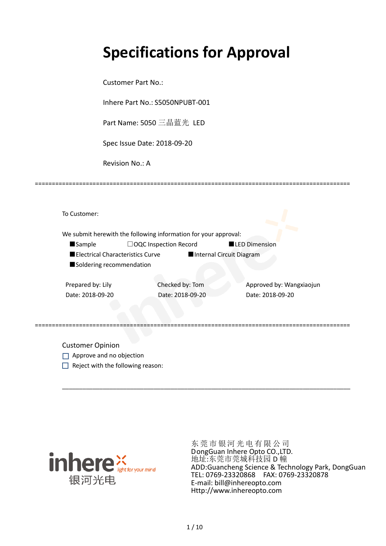# **Specifications for Approval**

Customer Part No.:

Inhere Part No.: S5050NPUBT-001

Part Name: 5050 三晶蓝光 LED

Spec Issue Date: 2018-09-20

Revision No.: A

|                                  | We submit herewith the following information for your approval: |                          |
|----------------------------------|-----------------------------------------------------------------|--------------------------|
| <b>Sample</b>                    | $\Box$ OQC Inspection Record                                    | <b>LED Dimension</b>     |
| Electrical Characteristics Curve |                                                                 | Internal Circuit Diagram |
| Soldering recommendation         |                                                                 |                          |
|                                  |                                                                 |                          |
| Prepared by: Lily                | Checked by: Tom                                                 | Approved by: Wangxiaojun |
| Date: 2018-09-20                 | Date: 2018-09-20                                                | Date: 2018-09-20         |
|                                  |                                                                 |                          |
|                                  |                                                                 |                          |

\_\_\_\_\_\_\_\_\_\_\_\_\_\_\_\_\_\_\_\_\_\_\_\_\_\_\_\_\_\_\_\_\_\_\_\_\_\_\_\_\_\_\_\_\_\_\_\_\_\_\_\_\_\_\_\_\_\_\_\_\_\_\_\_\_\_\_\_\_\_\_\_\_\_\_\_\_\_\_\_\_\_\_\_\_

=============================================================================================

Customer Opinion

- Approve and no objection
- $\Box$  Reject with the following reason:



东莞市银河光电有限公司 DongGuan Inhere Opto CO.,LTD. 地址:东莞市莞城科技园 D 幢 ADD:Guancheng Science & Technology Park, DongGuan TEL: 0769-23320868 FAX: 0769-23320878 E-mail: bill@inhereopto.com Http://www.inhereopto.com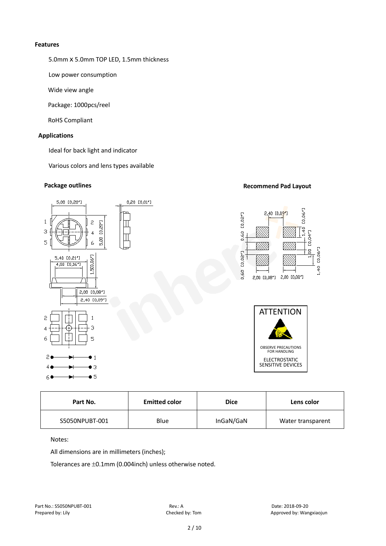### **Features**

5.0mm x 5.0mm TOP LED, 1.5mm thickness

Low power consumption

Wide view angle

Package: 1000pcs/reel

RoHS Compliant

# **Applications**

Ideal for back light and indicator

Various colors and lens types available

# **Package outlines Recommend Pad Layout Recommend Pad Layout**



| Part No.       | <b>Emitted color</b> | <b>Dice</b> | Lens color        |
|----------------|----------------------|-------------|-------------------|
| S5050NPUBT-001 | Blue                 | InGaN/GaN   | Water transparent |

Notes:

All dimensions are in millimeters (inches);

Tolerances are ±0.1mm (0.004inch) unless otherwise noted.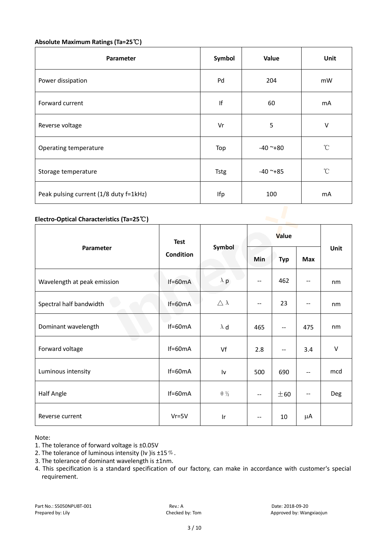# **Absolute Maximum Ratings (Ta=25**℃**)**

| Parameter                              | Symbol      | Value      | Unit            |
|----------------------------------------|-------------|------------|-----------------|
| Power dissipation                      | Pd          | 204        | mW              |
| Forward current                        | lf          | 60         | mA              |
| Reverse voltage                        | Vr          | 5          | V               |
| Operating temperature                  | Top         | $-40$ ~+80 | $\rm ^{\circ}C$ |
| Storage temperature                    | <b>Tstg</b> | $-40$ ~+85 | $^{\circ}$ C    |
| Peak pulsing current (1/8 duty f=1kHz) | Ifp         | 100        | m <sub>A</sub>  |

# **Electro-Optical Characteristics (Ta=25**℃**)**

|                             | <b>Test</b><br>Condition | Symbol                 | Value                    |                          |            |      |
|-----------------------------|--------------------------|------------------------|--------------------------|--------------------------|------------|------|
| Parameter                   |                          |                        | Min                      | <b>Typ</b>               | <b>Max</b> | Unit |
| Wavelength at peak emission | $If=60mA$                | $\lambda$ p            |                          | 462                      |            | nm   |
| Spectral half bandwidth     | If=60mA                  | $\triangle \lambda$    | $\overline{\phantom{a}}$ | 23                       | --         | nm   |
| Dominant wavelength         | $If=60mA$                | $\lambda$ d            | 465                      | $\overline{\phantom{m}}$ | 475        | nm   |
| e e<br>Forward voltage      | $If=60mA$                | Vf                     | 2.8                      | --                       | 3.4        | V    |
| Luminous intensity          | $If=60mA$                | Iv                     | 500                      | 690                      | --         | mcd  |
| <b>Half Angle</b>           | $If=60mA$                | $\theta$ $\frac{1}{2}$ | $\overline{\phantom{a}}$ | ± 60                     | --         | Deg  |
| Reverse current             | $Vr = 5V$                | Ir                     |                          | 10                       | μA         |      |

Note:

- 2. The tolerance of luminous intensity (Iv ) is  $\pm 15\%$ .
- 3. The tolerance of dominant wavelength is ±1nm.
- 4. This specification is a standard specification of our factory, can make in accordance with customer's special requirement.

<sup>1.</sup> The tolerance of forward voltage is ±0.05V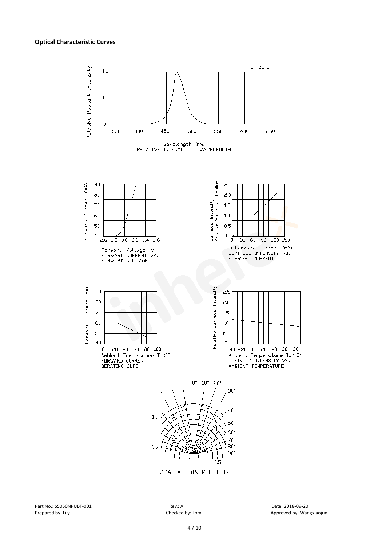#### **Optical Characteristic Curves**

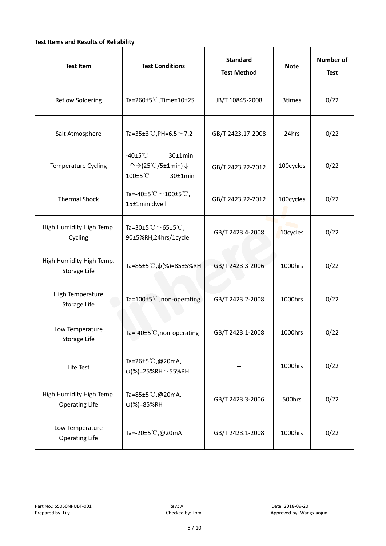# **Test Items and Results of Reliability**

| <b>Test Item</b>                                  | <b>Standard</b><br><b>Test Conditions</b><br><b>Test Method</b>                                     |                                | <b>Note</b> | <b>Number of</b><br><b>Test</b> |
|---------------------------------------------------|-----------------------------------------------------------------------------------------------------|--------------------------------|-------------|---------------------------------|
| <b>Reflow Soldering</b>                           | Ta=260 $\pm$ 5 °C, Time=10 $\pm$ 2S                                                                 | JB/T 10845-2008                | 3times      | 0/22                            |
| Salt Atmosphere                                   | Ta=35±3°C, PH=6.5 $\sim$ 7.2                                                                        | GB/T 2423.17-2008              | 24hrs       | 0/22                            |
| Temperature Cycling                               | -40 $±5^{\circ}$ C<br>$30±1$ min<br>个→(25℃/5±1min)↓<br>100±5°C<br>$30±1$ min                        | 100cycles<br>GB/T 2423.22-2012 |             | 0/22                            |
| <b>Thermal Shock</b>                              | Ta=-40±5 $\degree \text{C}$ $\sim$ 100±5 $\degree \text{C}$ ,<br>GB/T 2423.22-2012<br>15±1min dwell |                                | 100cycles   | 0/22                            |
| High Humidity High Temp.<br>Cycling               | Ta=30±5 °C $\sim$ 65±5 °C,<br>GB/T 2423.4-2008<br>90±5%RH,24hrs/1cycle                              |                                | 10cycles    | 0/22                            |
| High Humidity High Temp.<br>Storage Life          | Ta=85±5 °C, $\psi$ (%)=85±5%RH                                                                      | GB/T 2423.3-2006               | 1000hrs     | 0/22                            |
| High Temperature<br><b>Storage Life</b>           | Ta=100±5°C, non-operating                                                                           | GB/T 2423.2-2008               | 1000hrs     | 0/22                            |
| Low Temperature<br>Storage Life                   | Ta=-40±5 $°C$ , non-operating                                                                       | GB/T 2423.1-2008               | 1000hrs     | 0/22                            |
| Life Test                                         | Ta=26±5℃,@20mA,<br>$\psi$ (%)=25%RH~55%RH                                                           |                                | 1000hrs     | 0/22                            |
| High Humidity High Temp.<br><b>Operating Life</b> | Ta=85±5 $\degree$ C, @20mA,<br>$\psi$ (%)=85%RH                                                     | GB/T 2423.3-2006               | 500hrs      | 0/22                            |
| Low Temperature<br><b>Operating Life</b>          | Ta=-20±5℃,@20mA                                                                                     | GB/T 2423.1-2008               | 1000hrs     | 0/22                            |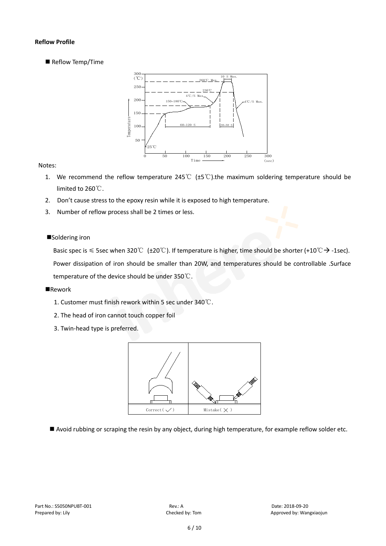# **Reflow Profile**

Reflow Temp/Time



# Notes:

- 1. We recommend the reflow temperature 245°C ( $\pm$ 5°C).the maximum soldering temperature should be limited to 260℃.
- 2. Don't cause stress to the epoxy resin while it is exposed to high temperature.
- 3. Number of reflow process shall be 2 times or less.

# ■Soldering iron

Basic spec is  $\leq$  5sec when 320°C (±20°C). If temperature is higher, time should be shorter (+10°C  $\rightarrow$  -1sec). Power dissipation of iron should be smaller than 20W, and temperatures should be controllable .Surface temperature of the device should be under 350℃.

#### **Rework**

- 1. Customer must finish rework within 5 sec under 340℃.
- 2. The head of iron cannot touch copper foil
- 3. Twin-head type is preferred.



Avoid rubbing or scraping the resin by any object, during high temperature, for example reflow solder etc.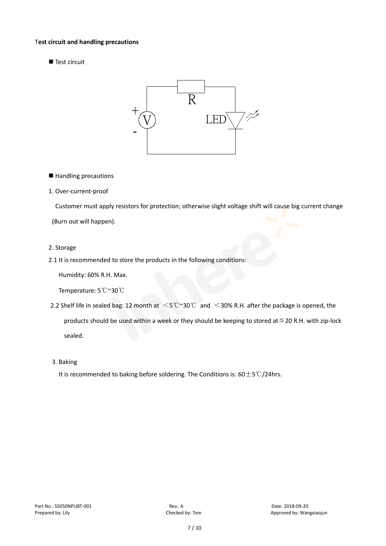### T**est circuit and handling precautions**

Test circuit



■ Handling precautions

### 1. Over-current-proof

Customer must apply resistors for protection; otherwise slight voltage shift will cause big current change

(Burn out will happen).

#### 2. Storage

# 2.1 It is recommended to store the products in the following conditions:

Humidity: 60% R.H. Max.

Temperature: 5℃~30℃

- 2.2 Shelf life in sealed bag: 12 month at <5℃~30℃ and <30% R.H. after the package is opened, the products should be used within a week or they should be keeping to stored at  $\leq$  20 R.H. with zip-lock sealed.
- 3. Baking

It is recommended to baking before soldering. The Conditions is: 60±5℃/24hrs.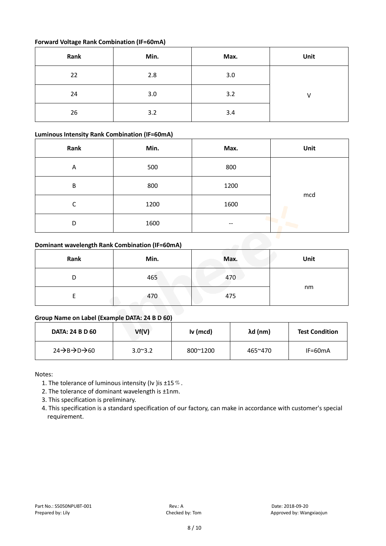# **Forward Voltage Rank Combination (IF=60mA)**

| Rank | Min. | Max. | Unit |
|------|------|------|------|
| 22   | 2.8  | 3.0  |      |
| 24   | 3.0  | 3.2  |      |
| 26   | 3.2  | 3.4  |      |

# **Luminous Intensity Rank Combination (IF=60mA)**

| Rank | Min. | Max.  | Unit |  |  |
|------|------|-------|------|--|--|
| Α    | 500  | 800   |      |  |  |
| B    | 800  | 1200  |      |  |  |
| С    | 1200 | 1600  | mcd  |  |  |
| D    | 1600 | $- -$ |      |  |  |

# **Dominant wavelength Rank Combination (IF=60mA)**

| Dominant wavelength Rank Combination (IF=60mA) |      |      |      |  |  |
|------------------------------------------------|------|------|------|--|--|
| Rank                                           | Min. | Max. | Unit |  |  |
|                                                | 465  | 470  |      |  |  |
|                                                | 470  | 475  | nm   |  |  |

# **Group Name on Label (Example DATA: 24 B D 60)**

| <b>DATA: 24 B D 60</b>                          | Vf(V)            | Iv (mcd) | λd (nm) | <b>Test Condition</b> |
|-------------------------------------------------|------------------|----------|---------|-----------------------|
| $24 \rightarrow B \rightarrow D \rightarrow 60$ | $3.0^{\circ}3.2$ | 800~1200 | 465~470 | $IF=60mA$             |

Notes:

- 1. The tolerance of luminous intensity (Iv ) is  $\pm 15\%$ .
- 2. The tolerance of dominant wavelength is ±1nm.
- 3. This specification is preliminary.
- 4. This specification is a standard specification of our factory, can make in accordance with customer's special requirement.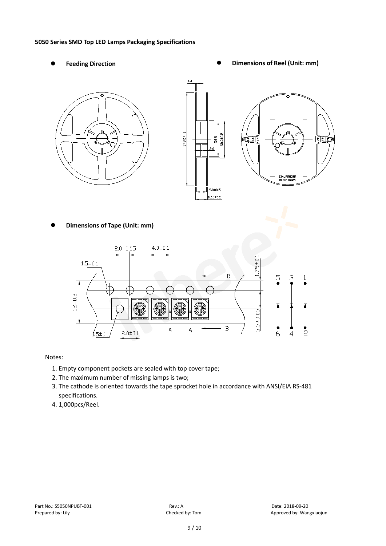### **5050 Series SMD Top LED Lamps Packaging Specifications**

- 
- Feeding Direction **Constanting Constanting Constanting Constanting Constanting Oriental Constanting Constanting Constanting Constanting Constanting Constanting Constanting Constanting Constanting Constanting Constanting Co**



**Dimensions of Tape (Unit: mm)**



# Notes:

- 1. Empty component pockets are sealed with top cover tape;
- 2. The maximum number of missing lamps is two;
- 3. The cathode is oriented towards the tape sprocket hole in accordance with ANSI/EIA RS-481 specifications.
- 4. 1,000pcs/Reel.